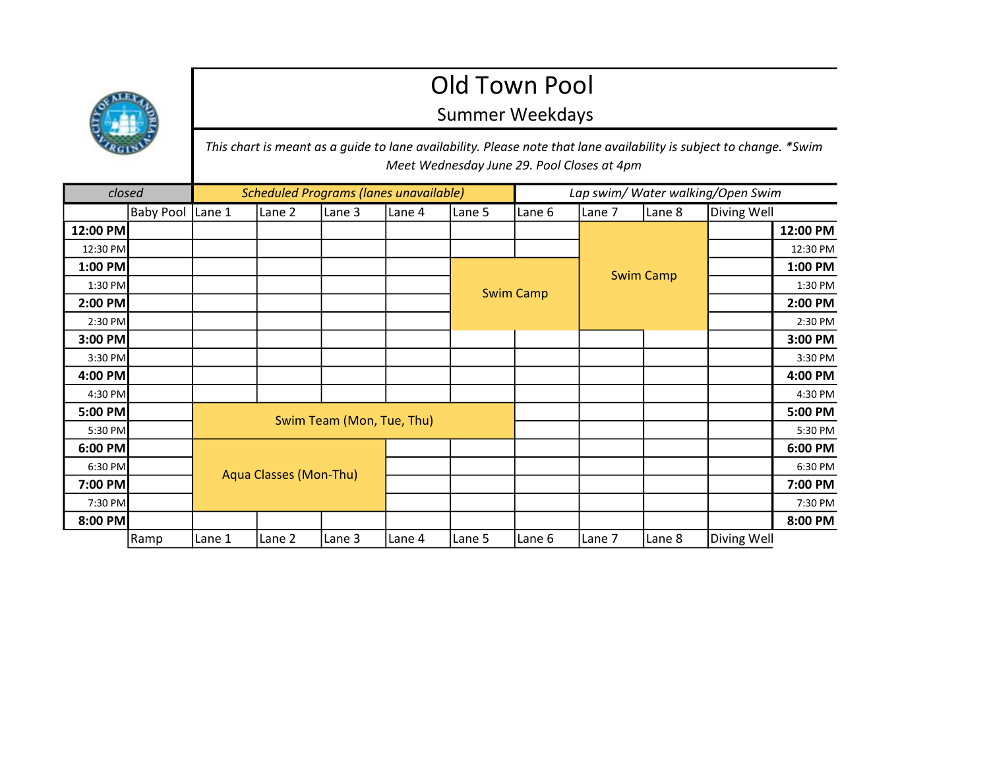## Old Town Pool

## Summer Weekdays

This chart is meant as a guide to lane availability. Please note that lane availability is subject to change. \*Swim Meet Wednesday June 29. Pool Closes at 4pm

| closed   |                  |                               | <b>Scheduled Programs (lanes unavailable)</b> |        |        | Lap swim/ Water walking/Open Swim |        |                  |        |             |          |
|----------|------------------|-------------------------------|-----------------------------------------------|--------|--------|-----------------------------------|--------|------------------|--------|-------------|----------|
|          | <b>Baby Pool</b> | Lane 1                        | Lane 2                                        | Lane 3 | Lane 4 | Lane 5                            | Lane 6 | Lane 7           | Lane 8 | Diving Well |          |
| 12:00 PM |                  |                               |                                               |        |        |                                   |        |                  |        |             | 12:00 PM |
| 12:30 PM |                  |                               |                                               |        |        |                                   |        |                  |        |             | 12:30 PM |
| 1:00 PM  |                  |                               |                                               |        |        | <b>Swim Camp</b>                  |        | <b>Swim Camp</b> |        |             | 1:00 PM  |
| 1:30 PM  |                  |                               |                                               |        |        |                                   |        |                  |        |             | 1:30 PM  |
| 2:00 PM  |                  |                               |                                               |        |        |                                   |        |                  |        |             | 2:00 PM  |
| 2:30 PM  |                  |                               |                                               |        |        |                                   |        |                  |        |             | 2:30 PM  |
| 3:00 PM  |                  |                               |                                               |        |        |                                   |        |                  |        |             | 3:00 PM  |
| 3:30 PM  |                  |                               |                                               |        |        |                                   |        |                  |        |             | 3:30 PM  |
| 4:00 PM  |                  |                               |                                               |        |        |                                   |        |                  |        |             | 4:00 PM  |
| 4:30 PM  |                  |                               |                                               |        |        |                                   |        |                  |        |             | 4:30 PM  |
| 5:00 PM  |                  | Swim Team (Mon, Tue, Thu)     |                                               |        |        |                                   |        |                  |        |             | 5:00 PM  |
| 5:30 PM  |                  |                               |                                               |        |        |                                   |        |                  |        |             | 5:30 PM  |
| 6:00 PM  |                  |                               |                                               |        |        |                                   |        |                  |        |             | 6:00 PM  |
| 6:30 PM  |                  |                               |                                               |        |        |                                   |        |                  |        |             | 6:30 PM  |
| 7:00 PM  |                  | <b>Aqua Classes (Mon-Thu)</b> |                                               |        |        |                                   |        |                  |        |             | 7:00 PM  |
| 7:30 PM  |                  |                               |                                               |        |        |                                   |        |                  |        |             | 7:30 PM  |
| 8:00 PM  |                  |                               |                                               |        |        |                                   |        |                  |        |             | 8:00 PM  |
|          | Ramp             | Lane 1                        | Lane 2                                        | Lane 3 | Lane 4 | Lane 5                            | Lane 6 | Lane 7           | Lane 8 | Diving Well |          |